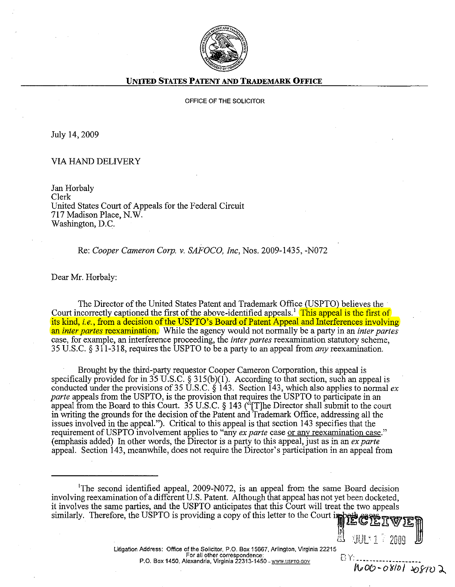

## **UNITED STATES PATENT AND TRADEMARK OFFICE**

## OFFICE OF THE SOLICITOR

July 14,2009

## VIA HAND DELIVERY

Jan Horbaly Clerk United States Court of Appeals for the Federal Circuit 717 Madison Place, N.W. Washington, D.C.

Re: *Cooper Cameron Corp. v. SAFOCO, Inc,* Nos. 2009-1435, -NOn

Dear Mr. Horbaly:

The Director ofthe United States Patent and Trademark Office (USPTO) believes the Court incorrectly captioned the first of the above-identified appeals.<sup>1</sup> This appeal is the first of its kind, *i.e.*, from a decision of the USPTO's Board of Patent Appeal and Interferences involving an *inter partes* reexamination. While the agency would not normally be a party in an *inter partes* case, for example, an interference proceeding, the *inter partes* reexamination statutory scheme, 35 U.S.c. § 311-318, requires the USPTO to be a party to an appeal from *any* reexamination.

Brought by the third-party requestor Cooper Cameron Corporation, this appeal is specifically provided for in 35 U.S.C. § 315(b)(1). According to that section, such an appeal is conducted under the provisions of35 U.S.C. § 143. Section 143, which also applies to normal *ex parte* appeals from the USPTO, is the provision that requires the USPTO to participate in an appeal from the Board to this Court. 35 U.S.C. § 143 ("[T]he Director shall submit to the court in writing the grounds for the decision of the Patent and Trademark Office, addressing all the issues involved in the appeal."). Critical to this appeal is that section 143 specifies that the requirement of USPTO involvement applies to "any *ex parte* case <u>or any reexamination case</u>." (emphasis added) In other words, the Director is a party to this appeal, just as in an *ex parte* appeal. Section 143, meanwhile, does not require the Director's participation in an appeal from

<sup>1</sup>The second identified appeal,  $2009-N072$ , is an appeal from the same Board decision involving reexamination of a different U.S. Patent. Although that appeal has not yet been docketed, it involves the same parties, and the USPTO anticipates that this Court will treat the two appeals similarly. Therefore, the USPTO is providing a copy of this letter to the Court in

 $\boxplus$  'jul' 1  $^\circ$  2009

BY.

NOO-08101 208102